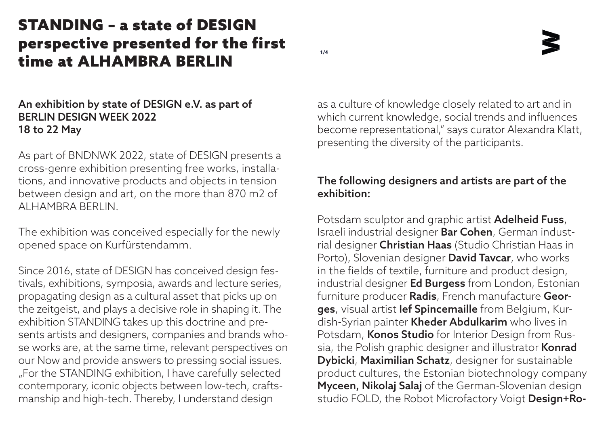as a culture of knowledge closely related to art and in which current knowledge, social trends and influences become representational," says curator Alexandra Klatt, presenting the diversity of the participants.

### The following designers and artists are part of the exhibition:

Potsdam sculptor and graphic artist **Adelheid Fuss**, Israeli industrial designer Bar Cohen, German industrial designer Christian Haas (Studio Christian Haas in Porto), Slovenian designer **David Tavcar**, who works in the fields of textile, furniture and product design, industrial designer Ed Burgess from London, Estonian furniture producer Radis, French manufacture Georges, visual artist Ief Spincemaille from Belgium, Kurdish-Syrian painter Kheder Abdulkarim who lives in Potsdam, Konos Studio for Interior Design from Russia, the Polish graphic designer and illustrator Konrad Dybicki, Maximilian Schatz, designer for sustainable product cultures, the Estonian biotechnology company Myceen, Nikolaj Salaj of the German-Slovenian design studio FOLD, the Robot Microfactory Voigt Design+Ro-

### An exhibition by state of DESIGN e.V. as part of BERLIN DESIGN WEEK 2022 18 to 22 May

As part of BNDNWK 2022, state of DESIGN presents a cross-genre exhibition presenting free works, installations, and innovative products and objects in tension between design and art, on the more than 870 m2 of ALHAMBRA BERLIN.

The exhibition was conceived especially for the newly opened space on Kurfürstendamm.

Since 2016, state of DESIGN has conceived design festivals, exhibitions, symposia, awards and lecture series, propagating design as a cultural asset that picks up on the zeitgeist, and plays a decisive role in shaping it. The exhibition STANDING takes up this doctrine and presents artists and designers, companies and brands whose works are, at the same time, relevant perspectives on our Now and provide answers to pressing social issues. "For the STANDING exhibition, I have carefully selected contemporary, iconic objects between low-tech, craftsmanship and high-tech. Thereby, I understand design

# STANDING – a state of DESIGN perspective presented for the first time at ALHAMBRA BERLIN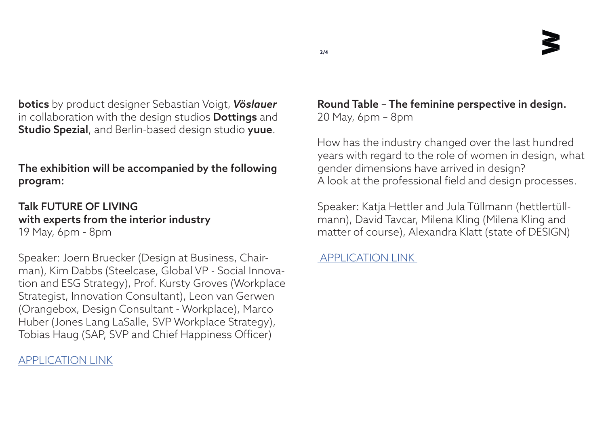Round Table – The feminine perspective in design. 20 May, 6pm – 8pm

How has the industry changed over the last hundred years with regard to the role of women in design, what gender dimensions have arrived in design? A look at the professional field and design processes.

botics by product designer Sebastian Voigt, *Vöslauer* in collaboration with the design studios **Dottings** and Studio Spezial, and Berlin-based design studio yuue.

> Speaker: Katja Hettler and Jula Tüllmann (hettlertüllmann), David Tavcar, Milena Kling (Milena Kling and matter of course), Alexandra Klatt (state of DESIGN)

[APPLICATION LINK](https://stateofdesign.berlin/clickandmeet.php?event=107&subevent=18)

## The exhibition will be accompanied by the following program:

### Talk FUTURE OF LIVING with experts from the interior industry 19 May, 6pm - 8pm

Speaker: Joern Bruecker (Design at Business, Chairman), Kim Dabbs (Steelcase, Global VP - Social Innovation and ESG Strategy), Prof. Kursty Groves (Workplace Strategist, Innovation Consultant), Leon van Gerwen (Orangebox, Design Consultant - Workplace), Marco Huber (Jones Lang LaSalle, SVP Workplace Strategy), Tobias Haug (SAP, SVP and Chief Happiness Officer)

## [APPLICATION LINK](https://stateofdesign.berlin/clickandmeet.php?event=107&subevent=19)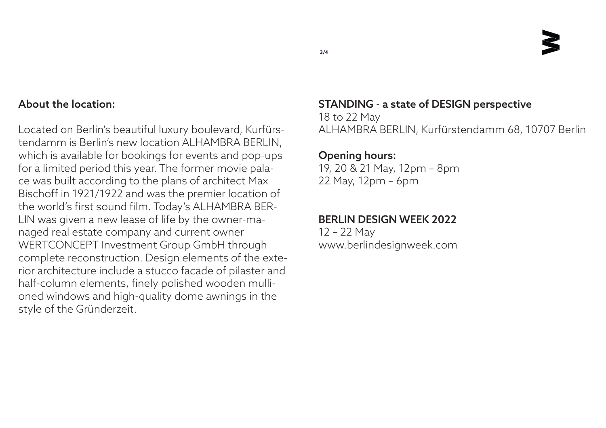

### About the location:

Located on Berlin's beautiful luxury boulevard, Kurfürstendamm is Berlin's new location ALHAMBRA BERLIN, which is available for bookings for events and pop-ups for a limited period this year. The former movie palace was built according to the plans of architect Max Bischoff in 1921/1922 and was the premier location of the world's first sound film. Today's ALHAMBRA BER-LIN was given a new lease of life by the owner-managed real estate company and current owner WERTCONCEPT Investment Group GmbH through complete reconstruction. Design elements of the exterior architecture include a stucco facade of pilaster and half-column elements, finely polished wooden mullioned windows and high-quality dome awnings in the style of the Gründerzeit.

# STANDING - a state of DESIGN perspective

18 to 22 May ALHAMBRA BERLIN, Kurfürstendamm 68, 10707 Berlin

### Opening hours:

19, 20 & 21 May, 12pm – 8pm 22 May, 12pm – 6pm

### BERLIN DESIGN WEEK 2022

12 – 22 May www.berlindesignweek.com